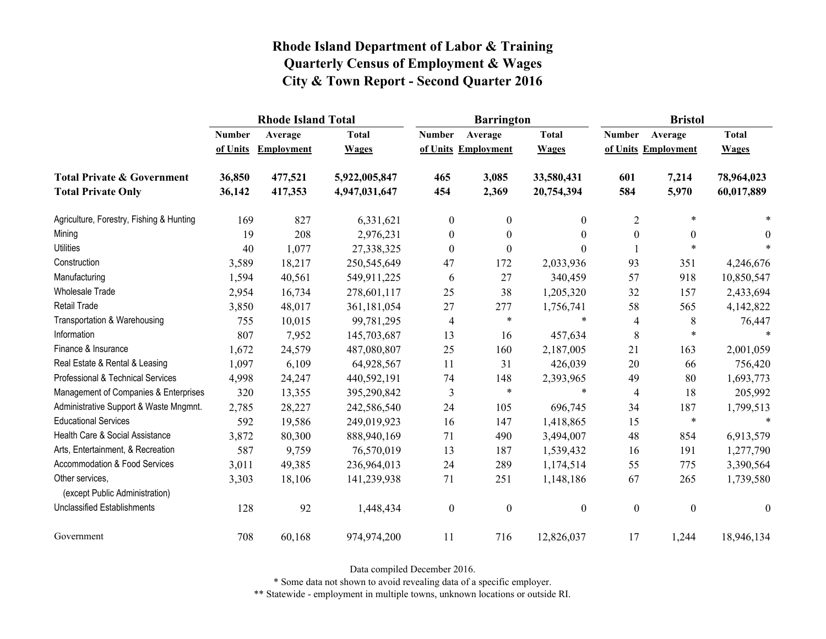|                                                   |               | <b>Rhode Island Total</b> |               |                  | <b>Barrington</b>   |                | <b>Bristol</b>   |                     |                  |
|---------------------------------------------------|---------------|---------------------------|---------------|------------------|---------------------|----------------|------------------|---------------------|------------------|
|                                                   | <b>Number</b> | Average                   | <b>Total</b>  | <b>Number</b>    | Average             | <b>Total</b>   | <b>Number</b>    | Average             | <b>Total</b>     |
|                                                   | of Units      | <b>Employment</b>         | <b>Wages</b>  |                  | of Units Employment | <b>Wages</b>   |                  | of Units Employment | <b>Wages</b>     |
| <b>Total Private &amp; Government</b>             | 36,850        | 477,521                   | 5,922,005,847 | 465              | 3,085               | 33,580,431     | 601              | 7,214               | 78,964,023       |
| <b>Total Private Only</b>                         | 36,142        | 417,353                   | 4,947,031,647 | 454              | 2,369               | 20,754,394     | 584              | 5,970               | 60,017,889       |
| Agriculture, Forestry, Fishing & Hunting          | 169           | 827                       | 6,331,621     | $\boldsymbol{0}$ | $\mathbf{0}$        | $\overline{0}$ | $\overline{2}$   | $\ast$              |                  |
| Mining                                            | 19            | 208                       | 2,976,231     | $\boldsymbol{0}$ | $\boldsymbol{0}$    | $\theta$       | $\boldsymbol{0}$ | $\boldsymbol{0}$    | $\theta$         |
| <b>Utilities</b>                                  | 40            | 1,077                     | 27,338,325    | $\boldsymbol{0}$ | $\theta$            | $\Omega$       |                  | $\ast$              |                  |
| Construction                                      | 3,589         | 18,217                    | 250,545,649   | 47               | 172                 | 2,033,936      | 93               | 351                 | 4,246,676        |
| Manufacturing                                     | 1,594         | 40,561                    | 549,911,225   | 6                | 27                  | 340,459        | 57               | 918                 | 10,850,547       |
| Wholesale Trade                                   | 2,954         | 16,734                    | 278,601,117   | 25               | 38                  | 1,205,320      | 32               | 157                 | 2,433,694        |
| <b>Retail Trade</b>                               | 3,850         | 48,017                    | 361,181,054   | 27               | 277                 | 1,756,741      | 58               | 565                 | 4,142,822        |
| Transportation & Warehousing                      | 755           | 10,015                    | 99,781,295    | $\overline{4}$   | $\ast$              | $\ast$         | 4                | 8                   | 76,447           |
| Information                                       | 807           | 7,952                     | 145,703,687   | 13               | 16                  | 457,634        | $\,8\,$          | $\ast$              |                  |
| Finance & Insurance                               | 1,672         | 24,579                    | 487,080,807   | 25               | 160                 | 2,187,005      | 21               | 163                 | 2,001,059        |
| Real Estate & Rental & Leasing                    | 1,097         | 6,109                     | 64,928,567    | 11               | 31                  | 426,039        | 20               | 66                  | 756,420          |
| Professional & Technical Services                 | 4,998         | 24,247                    | 440,592,191   | 74               | 148                 | 2,393,965      | 49               | 80                  | 1,693,773        |
| Management of Companies & Enterprises             | 320           | 13,355                    | 395,290,842   | 3                | $\ast$              | $\ast$         | 4                | 18                  | 205,992          |
| Administrative Support & Waste Mngmnt.            | 2,785         | 28,227                    | 242,586,540   | 24               | 105                 | 696,745        | 34               | 187                 | 1,799,513        |
| <b>Educational Services</b>                       | 592           | 19,586                    | 249,019,923   | 16               | 147                 | 1,418,865      | 15               | $\ast$              | $\ast$           |
| Health Care & Social Assistance                   | 3,872         | 80,300                    | 888,940,169   | 71               | 490                 | 3,494,007      | 48               | 854                 | 6,913,579        |
| Arts, Entertainment, & Recreation                 | 587           | 9,759                     | 76,570,019    | 13               | 187                 | 1,539,432      | 16               | 191                 | 1,277,790        |
| Accommodation & Food Services                     | 3,011         | 49,385                    | 236,964,013   | 24               | 289                 | 1,174,514      | 55               | 775                 | 3,390,564        |
| Other services,<br>(except Public Administration) | 3,303         | 18,106                    | 141,239,938   | 71               | 251                 | 1,148,186      | 67               | 265                 | 1,739,580        |
| <b>Unclassified Establishments</b>                | 128           | 92                        | 1,448,434     | $\boldsymbol{0}$ | $\boldsymbol{0}$    | $\mathbf{0}$   | $\boldsymbol{0}$ | $\boldsymbol{0}$    | $\boldsymbol{0}$ |
| Government                                        | 708           | 60,168                    | 974,974,200   | 11               | 716                 | 12,826,037     | 17               | 1,244               | 18,946,134       |

Data compiled December 2016.

\* Some data not shown to avoid revealing data of a specific employer.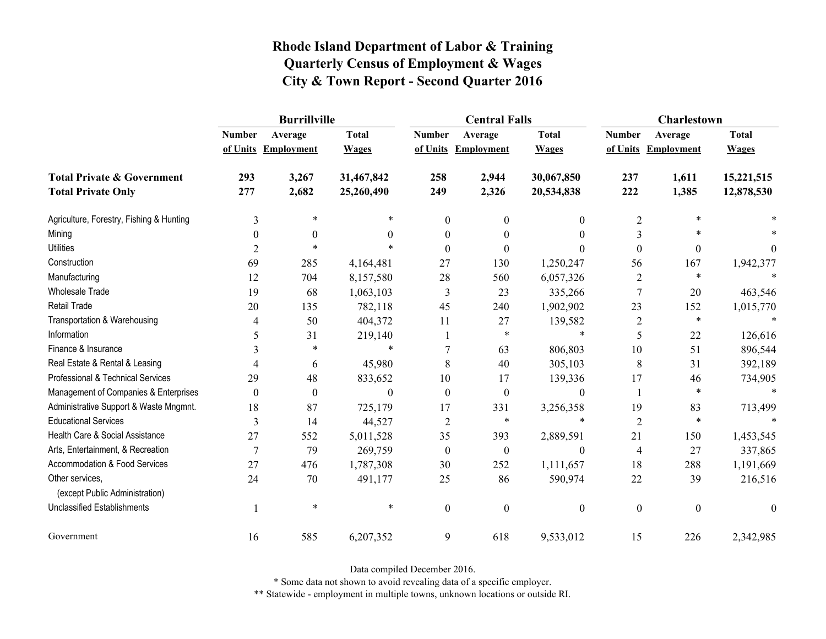|                                                   | <b>Burrillville</b> |                     |              |                  | <b>Central Falls</b> |                  | <b>Charlestown</b> |                     |                |
|---------------------------------------------------|---------------------|---------------------|--------------|------------------|----------------------|------------------|--------------------|---------------------|----------------|
|                                                   | <b>Number</b>       | Average             | <b>Total</b> | <b>Number</b>    | Average              | <b>Total</b>     | <b>Number</b>      | Average             | <b>Total</b>   |
|                                                   |                     | of Units Employment | <b>Wages</b> |                  | of Units Employment  | <b>Wages</b>     |                    | of Units Employment | <b>Wages</b>   |
| <b>Total Private &amp; Government</b>             | 293                 | 3,267               | 31,467,842   | 258              | 2,944                | 30,067,850       | 237                | 1,611               | 15,221,515     |
| <b>Total Private Only</b>                         | 277                 | 2,682               | 25,260,490   | 249              | 2,326                | 20,534,838       | 222                | 1,385               | 12,878,530     |
| Agriculture, Forestry, Fishing & Hunting          | 3                   | $\ast$              | *            | $\boldsymbol{0}$ | $\theta$             | $\mathbf{0}$     | $\overline{2}$     | $\ast$              |                |
| Mining                                            | $\theta$            | $\theta$            | $\theta$     | 0                | $\theta$             | $\theta$         | 3                  | $\ast$              |                |
| <b>Utilities</b>                                  | $\overline{2}$      | $\ast$              | $\ast$       | $\Omega$         | $\theta$             | $\theta$         | $\boldsymbol{0}$   | $\boldsymbol{0}$    | $\overline{0}$ |
| Construction                                      | 69                  | 285                 | 4,164,481    | 27               | 130                  | 1,250,247        | 56                 | 167                 | 1,942,377      |
| Manufacturing                                     | 12                  | 704                 | 8,157,580    | 28               | 560                  | 6,057,326        | $\overline{2}$     | $\ast$              |                |
| <b>Wholesale Trade</b>                            | 19                  | 68                  | 1,063,103    | 3                | 23                   | 335,266          | $\boldsymbol{7}$   | 20                  | 463,546        |
| <b>Retail Trade</b>                               | 20                  | 135                 | 782,118      | 45               | 240                  | 1,902,902        | 23                 | 152                 | 1,015,770      |
| Transportation & Warehousing                      | 4                   | 50                  | 404,372      | 11               | 27                   | 139,582          | $\sqrt{2}$         | $\ast$              |                |
| Information                                       | 5                   | 31                  | 219,140      |                  | $\ast$               | $\ast$           | 5                  | 22                  | 126,616        |
| Finance & Insurance                               |                     | $\ast$              | $\ast$       |                  | 63                   | 806,803          | 10                 | 51                  | 896,544        |
| Real Estate & Rental & Leasing                    | 4                   | 6                   | 45,980       | 8                | 40                   | 305,103          | 8                  | 31                  | 392,189        |
| Professional & Technical Services                 | 29                  | 48                  | 833,652      | 10               | 17                   | 139,336          | 17                 | 46                  | 734,905        |
| Management of Companies & Enterprises             | $\theta$            | $\boldsymbol{0}$    | $\Omega$     | $\theta$         | $\theta$             | $\theta$         | 1                  | $\ast$              | $\ast$         |
| Administrative Support & Waste Mngmnt.            | 18                  | 87                  | 725,179      | 17               | 331                  | 3,256,358        | 19                 | 83                  | 713,499        |
| <b>Educational Services</b>                       | 3                   | 14                  | 44,527       | $\overline{2}$   | *                    | *                | $\overline{2}$     | $\ast$              |                |
| Health Care & Social Assistance                   | 27                  | 552                 | 5,011,528    | 35               | 393                  | 2,889,591        | 21                 | 150                 | 1,453,545      |
| Arts, Entertainment, & Recreation                 | $\overline{7}$      | 79                  | 269,759      | $\boldsymbol{0}$ | $\boldsymbol{0}$     | $\boldsymbol{0}$ | $\overline{4}$     | 27                  | 337,865        |
| Accommodation & Food Services                     | 27                  | 476                 | 1,787,308    | 30               | 252                  | 1,111,657        | 18                 | 288                 | 1,191,669      |
| Other services,<br>(except Public Administration) | 24                  | 70                  | 491,177      | 25               | 86                   | 590,974          | 22                 | 39                  | 216,516        |
| <b>Unclassified Establishments</b>                |                     | $\ast$              | $\ast$       | $\boldsymbol{0}$ | $\mathbf{0}$         | $\boldsymbol{0}$ | $\boldsymbol{0}$   | $\boldsymbol{0}$    | $\mathbf{0}$   |
| Government                                        | 16                  | 585                 | 6,207,352    | 9                | 618                  | 9,533,012        | 15                 | 226                 | 2,342,985      |

Data compiled December 2016.

\* Some data not shown to avoid revealing data of a specific employer.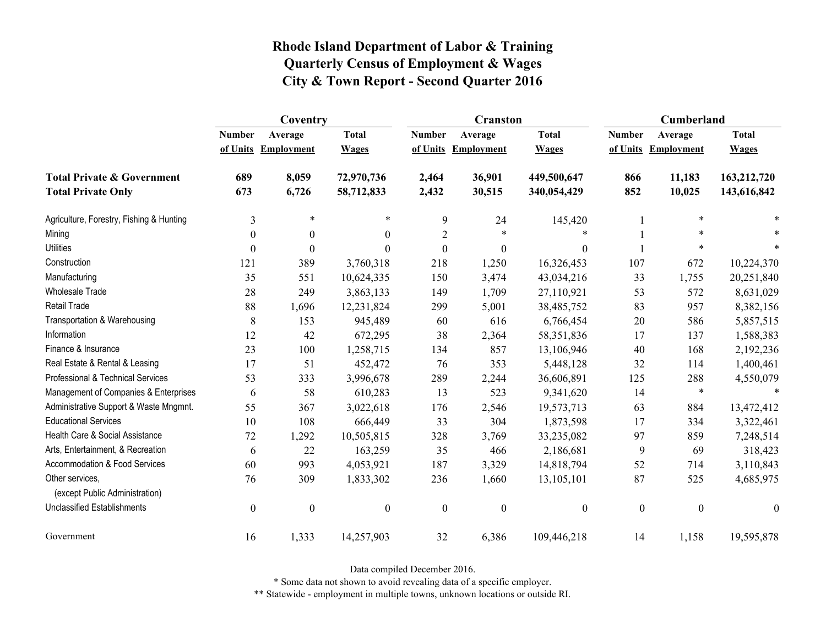|                                                   | Coventry         |                     |                  |                  | <b>Cranston</b>     |                  | Cumberland       |                     |                  |
|---------------------------------------------------|------------------|---------------------|------------------|------------------|---------------------|------------------|------------------|---------------------|------------------|
|                                                   | <b>Number</b>    | Average             | <b>Total</b>     | <b>Number</b>    | Average             | <b>Total</b>     | <b>Number</b>    | Average             | <b>Total</b>     |
|                                                   |                  | of Units Employment | <b>Wages</b>     |                  | of Units Employment | <b>Wages</b>     |                  | of Units Employment | <b>Wages</b>     |
| <b>Total Private &amp; Government</b>             | 689              | 8,059               | 72,970,736       | 2,464            | 36,901              | 449,500,647      | 866              | 11,183              | 163,212,720      |
| <b>Total Private Only</b>                         | 673              | 6,726               | 58,712,833       | 2,432            | 30,515              | 340,054,429      | 852              | 10,025              | 143,616,842      |
| Agriculture, Forestry, Fishing & Hunting          | $\mathfrak{Z}$   | $\ast$              | *                | 9                | 24                  | 145,420          |                  | $\ast$              |                  |
| Mining                                            | $\theta$         | $\boldsymbol{0}$    | $\Omega$         | 2                | *                   |                  |                  | $\ast$              |                  |
| <b>Utilities</b>                                  | $\boldsymbol{0}$ | $\boldsymbol{0}$    | $\Omega$         | $\boldsymbol{0}$ | $\boldsymbol{0}$    | $\boldsymbol{0}$ |                  | $\ast$              |                  |
| Construction                                      | 121              | 389                 | 3,760,318        | 218              | 1,250               | 16,326,453       | 107              | 672                 | 10,224,370       |
| Manufacturing                                     | 35               | 551                 | 10,624,335       | 150              | 3,474               | 43,034,216       | 33               | 1,755               | 20,251,840       |
| Wholesale Trade                                   | 28               | 249                 | 3,863,133        | 149              | 1,709               | 27,110,921       | 53               | 572                 | 8,631,029        |
| <b>Retail Trade</b>                               | 88               | 1,696               | 12,231,824       | 299              | 5,001               | 38,485,752       | 83               | 957                 | 8,382,156        |
| Transportation & Warehousing                      | $\,$ 8 $\,$      | 153                 | 945,489          | 60               | 616                 | 6,766,454        | 20               | 586                 | 5,857,515        |
| Information                                       | 12               | 42                  | 672,295          | 38               | 2,364               | 58,351,836       | 17               | 137                 | 1,588,383        |
| Finance & Insurance                               | 23               | 100                 | 1,258,715        | 134              | 857                 | 13,106,946       | 40               | 168                 | 2,192,236        |
| Real Estate & Rental & Leasing                    | 17               | 51                  | 452,472          | 76               | 353                 | 5,448,128        | 32               | 114                 | 1,400,461        |
| Professional & Technical Services                 | 53               | 333                 | 3,996,678        | 289              | 2,244               | 36,606,891       | 125              | 288                 | 4,550,079        |
| Management of Companies & Enterprises             | 6                | 58                  | 610,283          | 13               | 523                 | 9,341,620        | 14               | $\ast$              | $\ast$           |
| Administrative Support & Waste Mngmnt.            | 55               | 367                 | 3,022,618        | 176              | 2,546               | 19,573,713       | 63               | 884                 | 13,472,412       |
| <b>Educational Services</b>                       | 10               | 108                 | 666,449          | 33               | 304                 | 1,873,598        | 17               | 334                 | 3,322,461        |
| Health Care & Social Assistance                   | 72               | 1,292               | 10,505,815       | 328              | 3,769               | 33,235,082       | 97               | 859                 | 7,248,514        |
| Arts, Entertainment, & Recreation                 | 6                | 22                  | 163,259          | 35               | 466                 | 2,186,681        | 9                | 69                  | 318,423          |
| Accommodation & Food Services                     | 60               | 993                 | 4,053,921        | 187              | 3,329               | 14,818,794       | 52               | 714                 | 3,110,843        |
| Other services,<br>(except Public Administration) | 76               | 309                 | 1,833,302        | 236              | 1,660               | 13,105,101       | 87               | 525                 | 4,685,975        |
| <b>Unclassified Establishments</b>                | $\boldsymbol{0}$ | $\boldsymbol{0}$    | $\boldsymbol{0}$ | $\boldsymbol{0}$ | $\boldsymbol{0}$    | $\boldsymbol{0}$ | $\boldsymbol{0}$ | $\boldsymbol{0}$    | $\boldsymbol{0}$ |
| Government                                        | 16               | 1,333               | 14,257,903       | 32               | 6,386               | 109,446,218      | 14               | 1,158               | 19,595,878       |

Data compiled December 2016.

\* Some data not shown to avoid revealing data of a specific employer.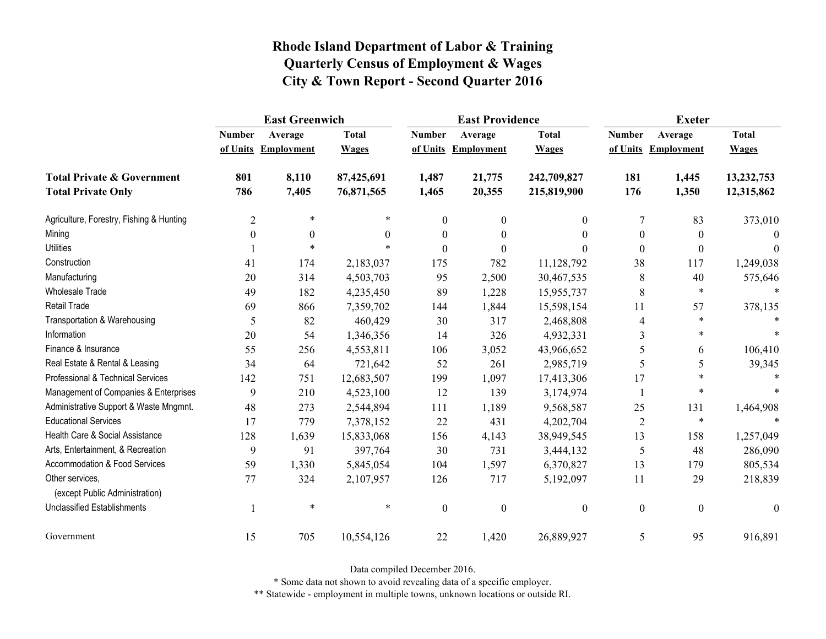|                                                   | <b>East Greenwich</b> |                     |              |                  | <b>East Providence</b> |                  | <b>Exeter</b>    |                     |              |
|---------------------------------------------------|-----------------------|---------------------|--------------|------------------|------------------------|------------------|------------------|---------------------|--------------|
|                                                   | <b>Number</b>         | Average             | <b>Total</b> | <b>Number</b>    | Average                | <b>Total</b>     | <b>Number</b>    | Average             | <b>Total</b> |
|                                                   |                       | of Units Employment | <b>Wages</b> |                  | of Units Employment    | <b>Wages</b>     |                  | of Units Employment | <b>Wages</b> |
| <b>Total Private &amp; Government</b>             | 801                   | 8,110               | 87,425,691   | 1,487            | 21,775                 | 242,709,827      | 181              | 1,445               | 13,232,753   |
| <b>Total Private Only</b>                         | 786                   | 7,405               | 76,871,565   | 1,465            | 20,355                 | 215,819,900      | 176              | 1,350               | 12,315,862   |
| Agriculture, Forestry, Fishing & Hunting          | $\overline{2}$        | $\ast$              |              | $\mathbf{0}$     | $\boldsymbol{0}$       | $\overline{0}$   | 7                | 83                  | 373,010      |
| Mining                                            | $\boldsymbol{0}$      | $\boldsymbol{0}$    | $\Omega$     | $\boldsymbol{0}$ | $\boldsymbol{0}$       | $\theta$         | $\boldsymbol{0}$ | $\theta$            | $\Omega$     |
| <b>Utilities</b>                                  |                       | $\ast$              |              | $\theta$         | $\theta$               | 0                | $\boldsymbol{0}$ | $\theta$            | $\theta$     |
| Construction                                      | 41                    | 174                 | 2,183,037    | 175              | 782                    | 11,128,792       | 38               | 117                 | 1,249,038    |
| Manufacturing                                     | 20                    | 314                 | 4,503,703    | 95               | 2,500                  | 30,467,535       | 8                | 40                  | 575,646      |
| <b>Wholesale Trade</b>                            | 49                    | 182                 | 4,235,450    | 89               | 1,228                  | 15,955,737       | 8                | $\ast$              |              |
| <b>Retail Trade</b>                               | 69                    | 866                 | 7,359,702    | 144              | 1,844                  | 15,598,154       | 11               | 57                  | 378,135      |
| Transportation & Warehousing                      | 5                     | 82                  | 460,429      | 30               | 317                    | 2,468,808        | $\overline{4}$   | $\ast$              |              |
| Information                                       | 20                    | 54                  | 1,346,356    | 14               | 326                    | 4,932,331        | 3                | $\ast$              |              |
| Finance & Insurance                               | 55                    | 256                 | 4,553,811    | 106              | 3,052                  | 43,966,652       | 5                | 6                   | 106,410      |
| Real Estate & Rental & Leasing                    | 34                    | 64                  | 721,642      | 52               | 261                    | 2,985,719        | 5                | 5                   | 39,345       |
| Professional & Technical Services                 | 142                   | 751                 | 12,683,507   | 199              | 1,097                  | 17,413,306       | 17               | $\ast$              |              |
| Management of Companies & Enterprises             | 9                     | 210                 | 4,523,100    | 12               | 139                    | 3,174,974        |                  | $\ast$              |              |
| Administrative Support & Waste Mngmnt.            | 48                    | 273                 | 2,544,894    | 111              | 1,189                  | 9,568,587        | 25               | 131                 | 1,464,908    |
| <b>Educational Services</b>                       | 17                    | 779                 | 7,378,152    | 22               | 431                    | 4,202,704        | $\overline{2}$   | $\ast$              |              |
| Health Care & Social Assistance                   | 128                   | 1,639               | 15,833,068   | 156              | 4,143                  | 38,949,545       | 13               | 158                 | 1,257,049    |
| Arts, Entertainment, & Recreation                 | 9                     | 91                  | 397,764      | 30               | 731                    | 3,444,132        | 5                | 48                  | 286,090      |
| <b>Accommodation &amp; Food Services</b>          | 59                    | 1,330               | 5,845,054    | 104              | 1,597                  | 6,370,827        | 13               | 179                 | 805,534      |
| Other services,<br>(except Public Administration) | 77                    | 324                 | 2,107,957    | 126              | 717                    | 5,192,097        | 11               | 29                  | 218,839      |
| <b>Unclassified Establishments</b>                |                       | $\ast$              | $\ast$       | $\boldsymbol{0}$ | $\boldsymbol{0}$       | $\boldsymbol{0}$ | $\boldsymbol{0}$ | $\boldsymbol{0}$    | $\theta$     |
| Government                                        | 15                    | 705                 | 10,554,126   | 22               | 1,420                  | 26,889,927       | 5                | 95                  | 916,891      |

Data compiled December 2016.

\* Some data not shown to avoid revealing data of a specific employer.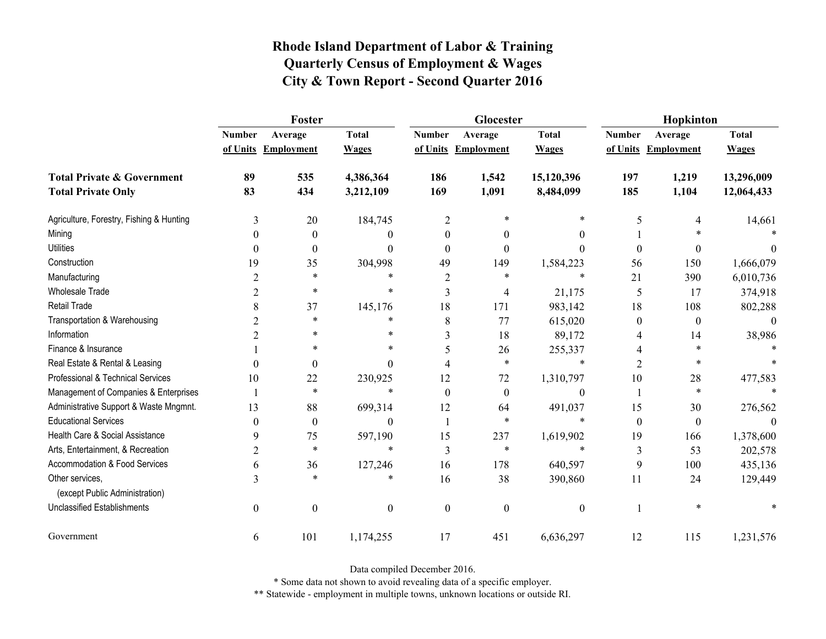|                                                   | Foster           |                     |                  |                | Glocester           |                  | Hopkinton        |                     |              |
|---------------------------------------------------|------------------|---------------------|------------------|----------------|---------------------|------------------|------------------|---------------------|--------------|
|                                                   | <b>Number</b>    | Average             | <b>Total</b>     | <b>Number</b>  | Average             | <b>Total</b>     | <b>Number</b>    | Average             | <b>Total</b> |
|                                                   |                  | of Units Employment | <b>Wages</b>     |                | of Units Employment | <b>Wages</b>     |                  | of Units Employment | <b>Wages</b> |
| <b>Total Private &amp; Government</b>             | 89               | 535                 | 4,386,364        | 186            | 1,542               | 15,120,396       | 197              | 1,219               | 13,296,009   |
| <b>Total Private Only</b>                         | 83               | 434                 | 3,212,109        | 169            | 1,091               | 8,484,099        | 185              | 1,104               | 12,064,433   |
| Agriculture, Forestry, Fishing & Hunting          | 3                | 20                  | 184,745          | $\overline{2}$ | $\ast$              | *                | 5                | 4                   | 14,661       |
| Mining                                            | $\theta$         | $\boldsymbol{0}$    | 0                | $\theta$       | $\theta$            | $\theta$         |                  |                     |              |
| <b>Utilities</b>                                  | $\theta$         | $\boldsymbol{0}$    | $\theta$         | $\theta$       | $\theta$            | $\theta$         | $\boldsymbol{0}$ | 0                   |              |
| Construction                                      | 19               | 35                  | 304,998          | 49             | 149                 | 1,584,223        | 56               | 150                 | 1,666,079    |
| Manufacturing                                     | $\overline{2}$   | $\ast$              | $\ast$           | 2              | $\ast$              | $\ast$           | 21               | 390                 | 6,010,736    |
| <b>Wholesale Trade</b>                            | 2                | $\ast$              | $\ast$           | 3              | 4                   | 21,175           | 5                | 17                  | 374,918      |
| <b>Retail Trade</b>                               | 8                | 37                  | 145,176          | 18             | 171                 | 983,142          | 18               | 108                 | 802,288      |
| Transportation & Warehousing                      | $\overline{c}$   | $\ast$              | *                | 8              | 77                  | 615,020          | $\boldsymbol{0}$ | $\boldsymbol{0}$    | $\theta$     |
| Information                                       | $\overline{2}$   | $\ast$              | $\ast$           | 3              | 18                  | 89,172           | 4                | 14                  | 38,986       |
| Finance & Insurance                               |                  | $\ast$              | *                | 5              | 26                  | 255,337          | 4                | $\ast$              |              |
| Real Estate & Rental & Leasing                    | $\theta$         | $\boldsymbol{0}$    | $\Omega$         | 4              | $\ast$              | $\ast$           | $\overline{2}$   | $\ast$              |              |
| Professional & Technical Services                 | 10               | 22                  | 230,925          | 12             | 72                  | 1,310,797        | $10\,$           | 28                  | 477,583      |
| Management of Companies & Enterprises             | 1                | $\ast$              | $\ast$           | $\Omega$       | $\theta$            | $\boldsymbol{0}$ |                  | $\ast$              |              |
| Administrative Support & Waste Mngmnt.            | 13               | 88                  | 699,314          | 12             | 64                  | 491,037          | 15               | 30                  | 276,562      |
| <b>Educational Services</b>                       | $\theta$         | $\boldsymbol{0}$    | $\Omega$         |                | *                   | $\ast$           | $\boldsymbol{0}$ | $\boldsymbol{0}$    |              |
| Health Care & Social Assistance                   | 9                | 75                  | 597,190          | 15             | 237                 | 1,619,902        | 19               | 166                 | 1,378,600    |
| Arts, Entertainment, & Recreation                 | $\overline{c}$   | $\ast$              | $\ast$           | 3              | $\ast$              | $\ast$           | 3                | 53                  | 202,578      |
| Accommodation & Food Services                     | 6                | 36                  | 127,246          | 16             | 178                 | 640,597          | 9                | 100                 | 435,136      |
| Other services,<br>(except Public Administration) | 3                | $\ast$              | *                | 16             | 38                  | 390,860          | 11               | 24                  | 129,449      |
| <b>Unclassified Establishments</b>                | $\boldsymbol{0}$ | $\boldsymbol{0}$    | $\boldsymbol{0}$ | $\mathbf{0}$   | $\mathbf{0}$        | $\boldsymbol{0}$ |                  | $\ast$              |              |
| Government                                        | 6                | 101                 | 1,174,255        | 17             | 451                 | 6,636,297        | 12               | 115                 | 1,231,576    |

Data compiled December 2016.

\* Some data not shown to avoid revealing data of a specific employer.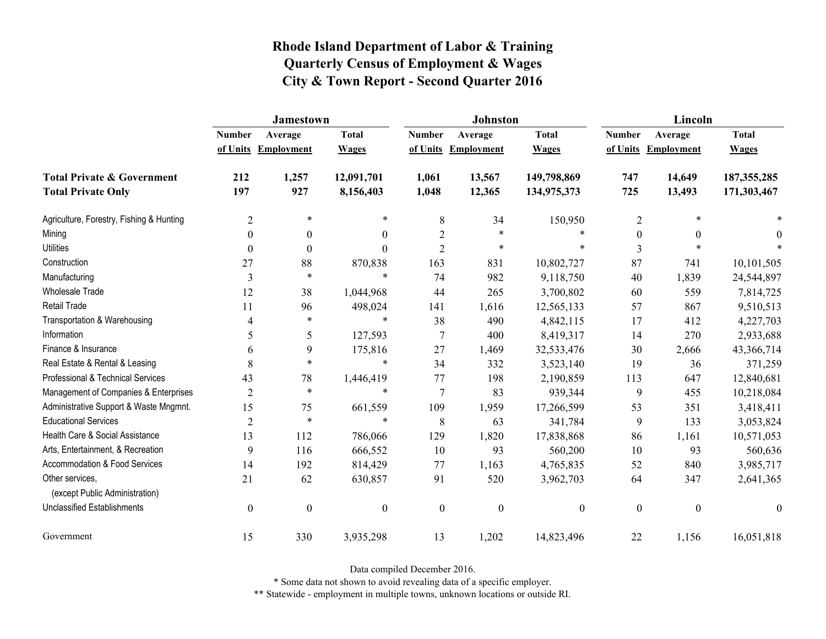|                                                   | Jamestown      |                     |                  |                  | <b>Johnston</b>  |                  | Lincoln          |                     |                  |
|---------------------------------------------------|----------------|---------------------|------------------|------------------|------------------|------------------|------------------|---------------------|------------------|
|                                                   | <b>Number</b>  | Average             | <b>Total</b>     | <b>Number</b>    | Average          | <b>Total</b>     | <b>Number</b>    | Average             | <b>Total</b>     |
|                                                   |                | of Units Employment | <b>Wages</b>     | of Units         | Employment       | <b>Wages</b>     |                  | of Units Employment | <b>Wages</b>     |
| <b>Total Private &amp; Government</b>             | 212            | 1,257               | 12,091,701       | 1,061            | 13,567           | 149,798,869      | 747              | 14,649              | 187, 355, 285    |
| <b>Total Private Only</b>                         | 197            | 927                 | 8,156,403        | 1,048            | 12,365           | 134,975,373      | 725              | 13,493              | 171,303,467      |
| Agriculture, Forestry, Fishing & Hunting          | $\overline{2}$ | $\ast$              | $\ast$           | $\,8\,$          | 34               | 150,950          | $\overline{2}$   | $\ast$              |                  |
| Mining                                            | $\theta$       | $\theta$            | $\overline{0}$   | $\overline{2}$   | $\ast$           |                  | $\mathbf{0}$     | $\theta$            | 0                |
| <b>Utilities</b>                                  | $\theta$       | $\boldsymbol{0}$    | $\mathbf{0}$     | $\overline{2}$   | $\ast$           | $\ast$           | 3                | $\ast$              |                  |
| Construction                                      | 27             | 88                  | 870,838          | 163              | 831              | 10,802,727       | 87               | 741                 | 10,101,505       |
| Manufacturing                                     | 3              | $\ast$              | $\ast$           | 74               | 982              | 9,118,750        | 40               | 1,839               | 24,544,897       |
| <b>Wholesale Trade</b>                            | 12             | 38                  | 1,044,968        | 44               | 265              | 3,700,802        | 60               | 559                 | 7,814,725        |
| Retail Trade                                      | 11             | 96                  | 498,024          | 141              | 1,616            | 12,565,133       | 57               | 867                 | 9,510,513        |
| Transportation & Warehousing                      | 4              | $\ast$              | $\ast$           | 38               | 490              | 4,842,115        | 17               | 412                 | 4,227,703        |
| Information                                       | 5              | 5                   | 127,593          | $\overline{7}$   | 400              | 8,419,317        | 14               | 270                 | 2,933,688        |
| Finance & Insurance                               | 6              | 9                   | 175,816          | 27               | 1,469            | 32,533,476       | 30               | 2,666               | 43,366,714       |
| Real Estate & Rental & Leasing                    | 8              | $\ast$              | $\ast$           | 34               | 332              | 3,523,140        | 19               | 36                  | 371,259          |
| Professional & Technical Services                 | 43             | 78                  | 1,446,419        | 77               | 198              | 2,190,859        | 113              | 647                 | 12,840,681       |
| Management of Companies & Enterprises             | $\overline{2}$ | $\ast$              | $\ast$           | $\overline{7}$   | 83               | 939,344          | 9                | 455                 | 10,218,084       |
| Administrative Support & Waste Mngmnt.            | 15             | 75                  | 661,559          | 109              | 1,959            | 17,266,599       | 53               | 351                 | 3,418,411        |
| <b>Educational Services</b>                       | $\overline{2}$ | $\ast$              | $\ast$           | 8                | 63               | 341,784          | 9                | 133                 | 3,053,824        |
| Health Care & Social Assistance                   | 13             | 112                 | 786,066          | 129              | 1,820            | 17,838,868       | 86               | 1,161               | 10,571,053       |
| Arts, Entertainment, & Recreation                 | 9              | 116                 | 666,552          | 10               | 93               | 560,200          | 10               | 93                  | 560,636          |
| Accommodation & Food Services                     | 14             | 192                 | 814,429          | 77               | 1,163            | 4,765,835        | 52               | 840                 | 3,985,717        |
| Other services,<br>(except Public Administration) | 21             | 62                  | 630,857          | 91               | 520              | 3,962,703        | 64               | 347                 | 2,641,365        |
| <b>Unclassified Establishments</b>                | $\mathbf{0}$   | $\boldsymbol{0}$    | $\boldsymbol{0}$ | $\boldsymbol{0}$ | $\boldsymbol{0}$ | $\boldsymbol{0}$ | $\boldsymbol{0}$ | $\mathbf{0}$        | $\boldsymbol{0}$ |
| Government                                        | 15             | 330                 | 3,935,298        | 13               | 1,202            | 14,823,496       | 22               | 1,156               | 16,051,818       |

Data compiled December 2016.

\* Some data not shown to avoid revealing data of a specific employer.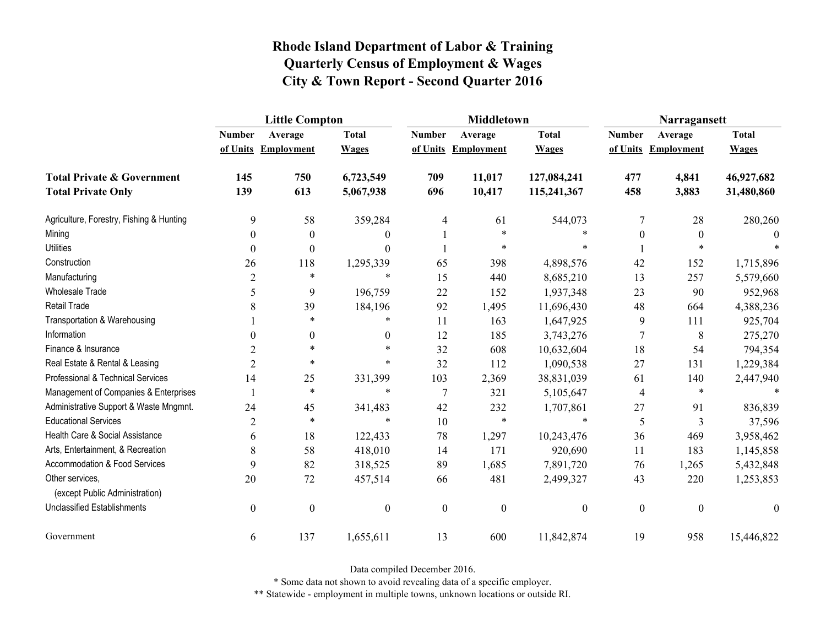|                                                   | <b>Little Compton</b> |                  |                  |                  | <b>Middletown</b>   |                  | Narragansett     |                     |              |
|---------------------------------------------------|-----------------------|------------------|------------------|------------------|---------------------|------------------|------------------|---------------------|--------------|
|                                                   | <b>Number</b>         | Average          | <b>Total</b>     | <b>Number</b>    | Average             | <b>Total</b>     | <b>Number</b>    | Average             | <b>Total</b> |
|                                                   | of Units              | Employment       | <b>Wages</b>     |                  | of Units Employment | <b>Wages</b>     |                  | of Units Employment | <b>Wages</b> |
| <b>Total Private &amp; Government</b>             | 145                   | 750              | 6,723,549        | 709              | 11,017              | 127,084,241      | 477              | 4,841               | 46,927,682   |
| <b>Total Private Only</b>                         | 139                   | 613              | 5,067,938        | 696              | 10,417              | 115,241,367      | 458              | 3,883               | 31,480,860   |
| Agriculture, Forestry, Fishing & Hunting          | 9                     | 58               | 359,284          | 4                | 61                  | 544,073          | 7                | 28                  | 280,260      |
| Mining                                            | $\theta$              | $\theta$         | $\theta$         |                  | $\ast$              | *                | $\theta$         | $\theta$            |              |
| <b>Utilities</b>                                  | $\boldsymbol{0}$      | $\boldsymbol{0}$ | $\theta$         |                  | $\ast$              | $\ast$           |                  | $\ast$              |              |
| Construction                                      | 26                    | 118              | 1,295,339        | 65               | 398                 | 4,898,576        | 42               | 152                 | 1,715,896    |
| Manufacturing                                     | $\overline{2}$        | $\ast$           | $\ast$           | 15               | 440                 | 8,685,210        | 13               | 257                 | 5,579,660    |
| <b>Wholesale Trade</b>                            | 5                     | 9                | 196,759          | 22               | 152                 | 1,937,348        | 23               | 90                  | 952,968      |
| Retail Trade                                      | 8                     | 39               | 184,196          | 92               | 1,495               | 11,696,430       | 48               | 664                 | 4,388,236    |
| Transportation & Warehousing                      |                       | $\ast$           | *                | 11               | 163                 | 1,647,925        | 9                | 111                 | 925,704      |
| Information                                       | 0                     | $\overline{0}$   | $\theta$         | 12               | 185                 | 3,743,276        | 7                | 8                   | 275,270      |
| Finance & Insurance                               | $\overline{2}$        | $\ast$           | $\ast$           | 32               | 608                 | 10,632,604       | 18               | 54                  | 794,354      |
| Real Estate & Rental & Leasing                    | $\overline{2}$        | $\ast$           | $\ast$           | 32               | 112                 | 1,090,538        | 27               | 131                 | 1,229,384    |
| Professional & Technical Services                 | 14                    | 25               | 331,399          | 103              | 2,369               | 38,831,039       | 61               | 140                 | 2,447,940    |
| Management of Companies & Enterprises             |                       | $\ast$           | $\ast$           | $\overline{7}$   | 321                 | 5,105,647        | 4                | $\ast$              |              |
| Administrative Support & Waste Mngmnt.            | 24                    | 45               | 341,483          | 42               | 232                 | 1,707,861        | 27               | 91                  | 836,839      |
| <b>Educational Services</b>                       | $\overline{c}$        | $\ast$           | $\ast$           | 10               | $\ast$              | $\ast$           | 5                | 3                   | 37,596       |
| Health Care & Social Assistance                   | 6                     | 18               | 122,433          | 78               | 1,297               | 10,243,476       | 36               | 469                 | 3,958,462    |
| Arts, Entertainment, & Recreation                 | 8                     | 58               | 418,010          | 14               | 171                 | 920,690          | 11               | 183                 | 1,145,858    |
| Accommodation & Food Services                     | 9                     | 82               | 318,525          | 89               | 1,685               | 7,891,720        | 76               | 1,265               | 5,432,848    |
| Other services.<br>(except Public Administration) | 20                    | 72               | 457,514          | 66               | 481                 | 2,499,327        | 43               | 220                 | 1,253,853    |
| <b>Unclassified Establishments</b>                | $\boldsymbol{0}$      | $\boldsymbol{0}$ | $\boldsymbol{0}$ | $\boldsymbol{0}$ | $\boldsymbol{0}$    | $\boldsymbol{0}$ | $\boldsymbol{0}$ | $\boldsymbol{0}$    | $\mathbf{0}$ |
| Government                                        | 6                     | 137              | 1,655,611        | 13               | 600                 | 11,842,874       | 19               | 958                 | 15,446,822   |

Data compiled December 2016.

\* Some data not shown to avoid revealing data of a specific employer.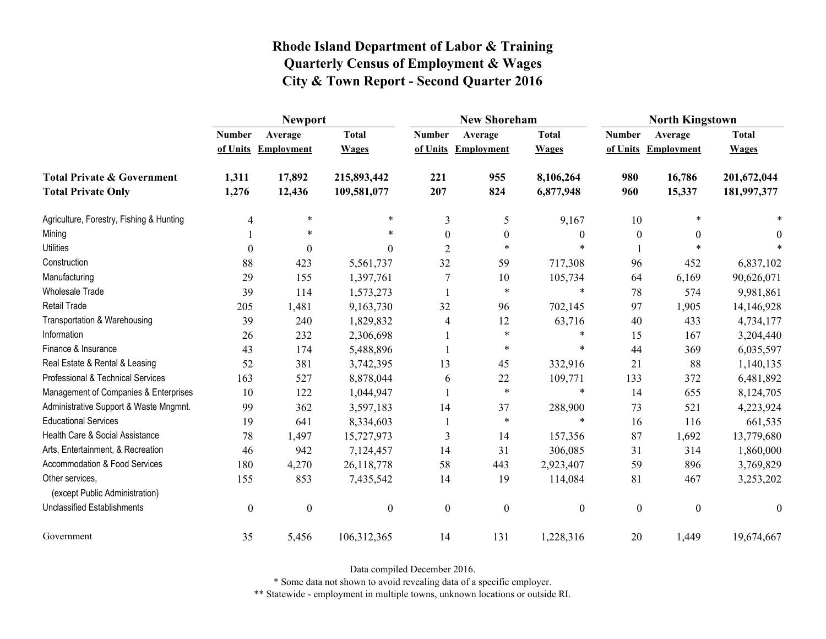|                                                   | <b>Newport</b>   |                     |                  |                  | <b>New Shoreham</b> |                  | <b>North Kingstown</b> |                     |                  |
|---------------------------------------------------|------------------|---------------------|------------------|------------------|---------------------|------------------|------------------------|---------------------|------------------|
|                                                   | <b>Number</b>    | Average             | <b>Total</b>     | <b>Number</b>    | Average             | <b>Total</b>     | <b>Number</b>          | Average             | <b>Total</b>     |
|                                                   |                  | of Units Employment | <b>Wages</b>     |                  | of Units Employment | <b>Wages</b>     |                        | of Units Employment | <b>Wages</b>     |
| <b>Total Private &amp; Government</b>             | 1,311            | 17,892              | 215,893,442      | 221              | 955                 | 8,106,264        | 980                    | 16,786              | 201,672,044      |
| <b>Total Private Only</b>                         | 1,276            | 12,436              | 109,581,077      | 207              | 824                 | 6,877,948        | 960                    | 15,337              | 181,997,377      |
| Agriculture, Forestry, Fishing & Hunting          | $\overline{4}$   | $\ast$              | *                | 3                | 5                   | 9,167            | 10                     |                     |                  |
| Mining                                            |                  | *                   | *                | $\theta$         | $\theta$            | $\theta$         | $\theta$               | $\theta$            | 0                |
| <b>Utilities</b>                                  | $\boldsymbol{0}$ | $\Omega$            | $\overline{0}$   | $\overline{2}$   | $\ast$              | $\ast$           |                        |                     |                  |
| Construction                                      | 88               | 423                 | 5,561,737        | 32               | 59                  | 717,308          | 96                     | 452                 | 6,837,102        |
| Manufacturing                                     | 29               | 155                 | 1,397,761        | $\overline{7}$   | 10                  | 105,734          | 64                     | 6,169               | 90,626,071       |
| Wholesale Trade                                   | 39               | 114                 | 1,573,273        |                  | $\ast$              | $\ast$           | 78                     | 574                 | 9,981,861        |
| Retail Trade                                      | 205              | 1,481               | 9,163,730        | 32               | 96                  | 702,145          | 97                     | 1,905               | 14,146,928       |
| Transportation & Warehousing                      | 39               | 240                 | 1,829,832        | $\overline{4}$   | 12                  | 63,716           | 40                     | 433                 | 4,734,177        |
| Information                                       | 26               | 232                 | 2,306,698        |                  | $\ast$              | $\ast$           | 15                     | 167                 | 3,204,440        |
| Finance & Insurance                               | 43               | 174                 | 5,488,896        |                  | $\ast$              | *                | 44                     | 369                 | 6,035,597        |
| Real Estate & Rental & Leasing                    | 52               | 381                 | 3,742,395        | 13               | 45                  | 332,916          | 21                     | 88                  | 1,140,135        |
| Professional & Technical Services                 | 163              | 527                 | 8,878,044        | 6                | 22                  | 109,771          | 133                    | 372                 | 6,481,892        |
| Management of Companies & Enterprises             | 10               | 122                 | 1,044,947        |                  | $\ast$              | $\ast$           | 14                     | 655                 | 8,124,705        |
| Administrative Support & Waste Mngmnt.            | 99               | 362                 | 3,597,183        | 14               | 37                  | 288,900          | 73                     | 521                 | 4,223,924        |
| <b>Educational Services</b>                       | 19               | 641                 | 8,334,603        |                  | $\ast$              | $\ast$           | 16                     | 116                 | 661,535          |
| Health Care & Social Assistance                   | 78               | 1,497               | 15,727,973       | 3                | 14                  | 157,356          | 87                     | 1,692               | 13,779,680       |
| Arts, Entertainment, & Recreation                 | 46               | 942                 | 7,124,457        | 14               | 31                  | 306,085          | 31                     | 314                 | 1,860,000        |
| Accommodation & Food Services                     | 180              | 4,270               | 26,118,778       | 58               | 443                 | 2,923,407        | 59                     | 896                 | 3,769,829        |
| Other services.<br>(except Public Administration) | 155              | 853                 | 7,435,542        | 14               | 19                  | 114,084          | 81                     | 467                 | 3,253,202        |
| Unclassified Establishments                       | $\boldsymbol{0}$ | $\boldsymbol{0}$    | $\boldsymbol{0}$ | $\boldsymbol{0}$ | $\boldsymbol{0}$    | $\boldsymbol{0}$ | $\boldsymbol{0}$       | $\mathbf{0}$        | $\boldsymbol{0}$ |
| Government                                        | 35               | 5,456               | 106,312,365      | 14               | 131                 | 1,228,316        | 20                     | 1,449               | 19,674,667       |

Data compiled December 2016.

\* Some data not shown to avoid revealing data of a specific employer.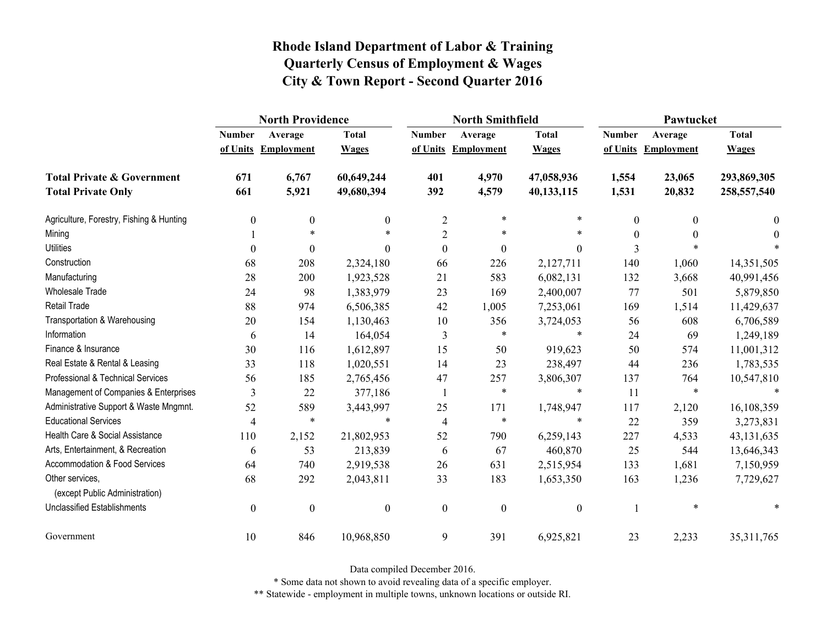|                                                   | <b>North Providence</b> |                     |                  |                  | <b>North Smithfield</b> |                  | Pawtucket     |                     |              |
|---------------------------------------------------|-------------------------|---------------------|------------------|------------------|-------------------------|------------------|---------------|---------------------|--------------|
|                                                   | <b>Number</b>           | Average             | <b>Total</b>     | <b>Number</b>    | Average                 | <b>Total</b>     | <b>Number</b> | Average             | <b>Total</b> |
|                                                   |                         | of Units Employment | <b>Wages</b>     |                  | of Units Employment     | <b>Wages</b>     |               | of Units Employment | <b>Wages</b> |
| <b>Total Private &amp; Government</b>             | 671                     | 6,767               | 60,649,244       | 401              | 4,970                   | 47,058,936       | 1,554         | 23,065              | 293,869,305  |
| <b>Total Private Only</b>                         | 661                     | 5,921               | 49,680,394       | 392              | 4,579                   | 40,133,115       | 1,531         | 20,832              | 258,557,540  |
| Agriculture, Forestry, Fishing & Hunting          | $\boldsymbol{0}$        | 0                   | $\mathbf{0}$     | $\overline{2}$   | $\ast$                  | *                | 0             | $\theta$            | $\bf{0}$     |
| Mining                                            |                         | $\ast$              |                  | $\overline{2}$   | $\ast$                  | $\ast$           | $\theta$      | $\theta$            | $\theta$     |
| <b>Utilities</b>                                  | $\theta$                | $\theta$            | $\Omega$         | $\boldsymbol{0}$ | $\boldsymbol{0}$        | $\mathbf{0}$     | 3             |                     |              |
| Construction                                      | 68                      | 208                 | 2,324,180        | 66               | 226                     | 2,127,711        | 140           | 1,060               | 14,351,505   |
| Manufacturing                                     | 28                      | 200                 | 1,923,528        | 21               | 583                     | 6,082,131        | 132           | 3,668               | 40,991,456   |
| <b>Wholesale Trade</b>                            | 24                      | 98                  | 1,383,979        | 23               | 169                     | 2,400,007        | 77            | 501                 | 5,879,850    |
| <b>Retail Trade</b>                               | 88                      | 974                 | 6,506,385        | 42               | 1,005                   | 7,253,061        | 169           | 1,514               | 11,429,637   |
| Transportation & Warehousing                      | 20                      | 154                 | 1,130,463        | $10\,$           | 356                     | 3,724,053        | 56            | 608                 | 6,706,589    |
| Information                                       | 6                       | 14                  | 164,054          | 3                | $\ast$                  | *                | 24            | 69                  | 1,249,189    |
| Finance & Insurance                               | 30                      | 116                 | 1,612,897        | 15               | 50                      | 919,623          | 50            | 574                 | 11,001,312   |
| Real Estate & Rental & Leasing                    | 33                      | 118                 | 1,020,551        | 14               | 23                      | 238,497          | 44            | 236                 | 1,783,535    |
| Professional & Technical Services                 | 56                      | 185                 | 2,765,456        | 47               | 257                     | 3,806,307        | 137           | 764                 | 10,547,810   |
| Management of Companies & Enterprises             | 3                       | 22                  | 377,186          | 1                | $\ast$                  | $\ast$           | 11            | $\ast$              | $\ast$       |
| Administrative Support & Waste Mngmnt.            | 52                      | 589                 | 3,443,997        | 25               | 171                     | 1,748,947        | 117           | 2,120               | 16,108,359   |
| <b>Educational Services</b>                       | $\overline{4}$          | $\ast$              | $\ast$           | $\overline{4}$   | $\ast$                  | *                | 22            | 359                 | 3,273,831    |
| Health Care & Social Assistance                   | 110                     | 2,152               | 21,802,953       | 52               | 790                     | 6,259,143        | 227           | 4,533               | 43, 131, 635 |
| Arts, Entertainment, & Recreation                 | 6                       | 53                  | 213,839          | 6                | 67                      | 460,870          | 25            | 544                 | 13,646,343   |
| Accommodation & Food Services                     | 64                      | 740                 | 2,919,538        | 26               | 631                     | 2,515,954        | 133           | 1,681               | 7,150,959    |
| Other services,<br>(except Public Administration) | 68                      | 292                 | 2,043,811        | 33               | 183                     | 1,653,350        | 163           | 1,236               | 7,729,627    |
| <b>Unclassified Establishments</b>                | $\boldsymbol{0}$        | $\boldsymbol{0}$    | $\boldsymbol{0}$ | $\boldsymbol{0}$ | $\boldsymbol{0}$        | $\boldsymbol{0}$ |               | $\ast$              | *            |
| Government                                        | 10                      | 846                 | 10,968,850       | 9                | 391                     | 6,925,821        | 23            | 2,233               | 35, 311, 765 |

Data compiled December 2016.

\* Some data not shown to avoid revealing data of a specific employer.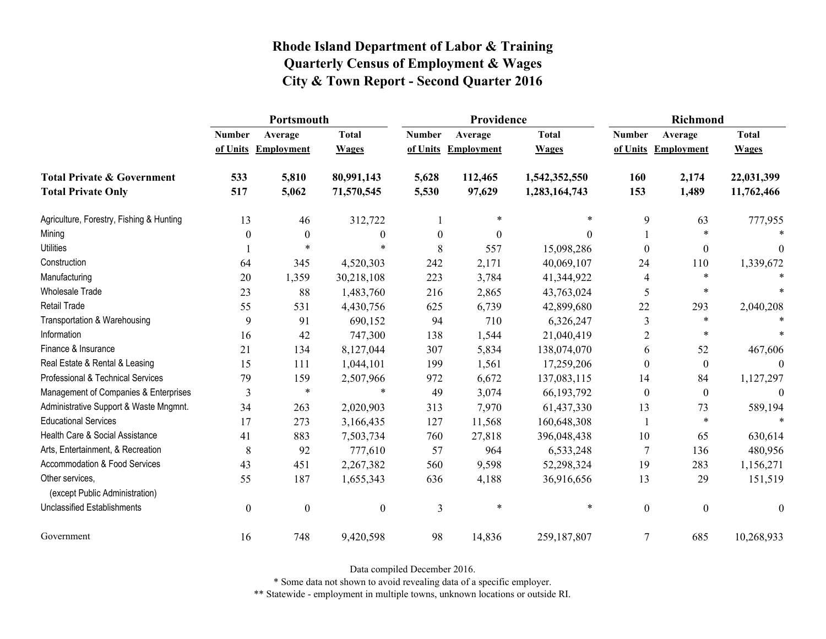|                                                   | Portsmouth       |                     |                  |                  | Providence          |               | <b>Richmond</b>          |                     |                  |
|---------------------------------------------------|------------------|---------------------|------------------|------------------|---------------------|---------------|--------------------------|---------------------|------------------|
|                                                   | <b>Number</b>    | Average             | <b>Total</b>     | <b>Number</b>    | Average             | <b>Total</b>  | <b>Number</b>            | Average             | <b>Total</b>     |
|                                                   |                  | of Units Employment | <b>Wages</b>     |                  | of Units Employment | <b>Wages</b>  |                          | of Units Employment | <b>Wages</b>     |
| <b>Total Private &amp; Government</b>             | 533              | 5,810               | 80,991,143       | 5,628            | 112,465             | 1,542,352,550 | 160                      | 2,174               | 22,031,399       |
| <b>Total Private Only</b>                         | 517              | 5,062               | 71,570,545       | 5,530            | 97,629              | 1,283,164,743 | 153                      | 1,489               | 11,762,466       |
| Agriculture, Forestry, Fishing & Hunting          | 13               | 46                  | 312,722          |                  | $\ast$              | $\ast$        | 9                        | 63                  | 777,955          |
| Mining                                            | 0                | $\boldsymbol{0}$    | $\boldsymbol{0}$ | $\boldsymbol{0}$ | $\boldsymbol{0}$    | $\Omega$      |                          | $\ast$              |                  |
| <b>Utilities</b>                                  |                  | $\ast$              | $\ast$           | 8                | 557                 | 15,098,286    | $\theta$                 | $\boldsymbol{0}$    | $\Omega$         |
| Construction                                      | 64               | 345                 | 4,520,303        | 242              | 2,171               | 40,069,107    | 24                       | 110                 | 1,339,672        |
| Manufacturing                                     | 20               | 1,359               | 30,218,108       | 223              | 3,784               | 41,344,922    | $\overline{\mathcal{A}}$ | $\ast$              |                  |
| <b>Wholesale Trade</b>                            | 23               | 88                  | 1,483,760        | 216              | 2,865               | 43,763,024    | 5                        | $\ast$              |                  |
| <b>Retail Trade</b>                               | 55               | 531                 | 4,430,756        | 625              | 6,739               | 42,899,680    | 22                       | 293                 | 2,040,208        |
| Transportation & Warehousing                      | 9                | 91                  | 690,152          | 94               | 710                 | 6,326,247     | 3                        | $\ast$              |                  |
| Information                                       | 16               | 42                  | 747,300          | 138              | 1,544               | 21,040,419    | $\overline{2}$           | $\ast$              |                  |
| Finance & Insurance                               | 21               | 134                 | 8,127,044        | 307              | 5,834               | 138,074,070   | 6                        | 52                  | 467,606          |
| Real Estate & Rental & Leasing                    | 15               | 111                 | 1,044,101        | 199              | 1,561               | 17,259,206    | $\theta$                 | $\boldsymbol{0}$    |                  |
| Professional & Technical Services                 | 79               | 159                 | 2,507,966        | 972              | 6,672               | 137,083,115   | 14                       | 84                  | 1,127,297        |
| Management of Companies & Enterprises             | 3                | $\ast$              | $\ast$           | 49               | 3,074               | 66, 193, 792  | $\theta$                 | $\boldsymbol{0}$    | $\theta$         |
| Administrative Support & Waste Mngmnt.            | 34               | 263                 | 2,020,903        | 313              | 7,970               | 61,437,330    | 13                       | 73                  | 589,194          |
| <b>Educational Services</b>                       | 17               | 273                 | 3,166,435        | 127              | 11,568              | 160,648,308   |                          | $\ast$              | $\ast$           |
| Health Care & Social Assistance                   | 41               | 883                 | 7,503,734        | 760              | 27,818              | 396,048,438   | 10                       | 65                  | 630,614          |
| Arts, Entertainment, & Recreation                 | 8                | 92                  | 777,610          | 57               | 964                 | 6,533,248     | $\overline{7}$           | 136                 | 480,956          |
| Accommodation & Food Services                     | 43               | 451                 | 2,267,382        | 560              | 9,598               | 52,298,324    | 19                       | 283                 | 1,156,271        |
| Other services,<br>(except Public Administration) | 55               | 187                 | 1,655,343        | 636              | 4,188               | 36,916,656    | 13                       | 29                  | 151,519          |
| <b>Unclassified Establishments</b>                | $\boldsymbol{0}$ | $\boldsymbol{0}$    | $\boldsymbol{0}$ | 3                | $\ast$              | $\ast$        | $\boldsymbol{0}$         | $\boldsymbol{0}$    | $\boldsymbol{0}$ |
| Government                                        | 16               | 748                 | 9,420,598        | 98               | 14,836              | 259,187,807   | 7                        | 685                 | 10,268,933       |

Data compiled December 2016.

\* Some data not shown to avoid revealing data of a specific employer.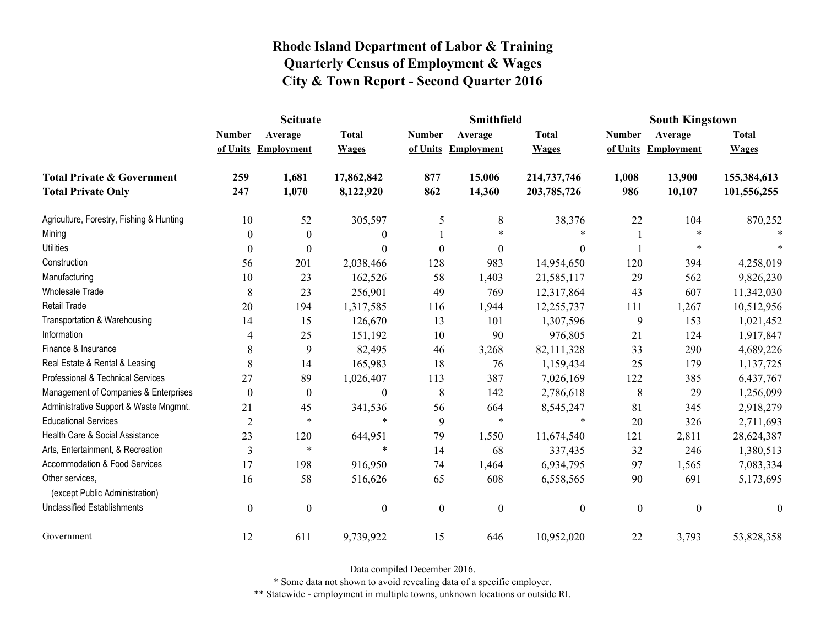|                                                   | <b>Scituate</b>  |                     |                  |                  | <b>Smithfield</b> |                  | <b>South Kingstown</b> |                     |                  |
|---------------------------------------------------|------------------|---------------------|------------------|------------------|-------------------|------------------|------------------------|---------------------|------------------|
|                                                   | <b>Number</b>    | Average             | <b>Total</b>     | <b>Number</b>    | Average           | <b>Total</b>     | <b>Number</b>          | Average             | <b>Total</b>     |
|                                                   |                  | of Units Employment | <b>Wages</b>     | of Units         | Employment        | <b>Wages</b>     |                        | of Units Employment | <b>Wages</b>     |
| <b>Total Private &amp; Government</b>             | 259              | 1,681               | 17,862,842       | 877              | 15,006            | 214,737,746      | 1,008                  | 13,900              | 155,384,613      |
| <b>Total Private Only</b>                         | 247              | 1,070               | 8,122,920        | 862              | 14,360            | 203,785,726      | 986                    | 10,107              | 101,556,255      |
| Agriculture, Forestry, Fishing & Hunting          | 10               | 52                  | 305,597          | 5                | 8                 | 38,376           | 22                     | 104                 | 870,252          |
| Mining                                            | $\theta$         | $\mathbf{0}$        | $\boldsymbol{0}$ |                  | $\ast$            | *                |                        | *                   |                  |
| <b>Utilities</b>                                  | $\theta$         | $\boldsymbol{0}$    | $\boldsymbol{0}$ | $\boldsymbol{0}$ | $\boldsymbol{0}$  | $\boldsymbol{0}$ |                        | *                   |                  |
| Construction                                      | 56               | 201                 | 2,038,466        | 128              | 983               | 14,954,650       | 120                    | 394                 | 4,258,019        |
| Manufacturing                                     | 10               | 23                  | 162,526          | 58               | 1,403             | 21,585,117       | 29                     | 562                 | 9,826,230        |
| Wholesale Trade                                   | $8\,$            | 23                  | 256,901          | 49               | 769               | 12,317,864       | 43                     | 607                 | 11,342,030       |
| <b>Retail Trade</b>                               | 20               | 194                 | 1,317,585        | 116              | 1,944             | 12,255,737       | 111                    | 1,267               | 10,512,956       |
| Transportation & Warehousing                      | 14               | 15                  | 126,670          | 13               | 101               | 1,307,596        | 9                      | 153                 | 1,021,452        |
| Information                                       | 4                | 25                  | 151,192          | 10               | 90                | 976,805          | 21                     | 124                 | 1,917,847        |
| Finance & Insurance                               | 8                | 9                   | 82,495           | 46               | 3,268             | 82,111,328       | 33                     | 290                 | 4,689,226        |
| Real Estate & Rental & Leasing                    | $8\,$            | 14                  | 165,983          | 18               | 76                | 1,159,434        | 25                     | 179                 | 1,137,725        |
| Professional & Technical Services                 | 27               | 89                  | 1,026,407        | 113              | 387               | 7,026,169        | 122                    | 385                 | 6,437,767        |
| Management of Companies & Enterprises             | $\Omega$         | $\mathbf{0}$        | $\boldsymbol{0}$ | 8                | 142               | 2,786,618        | 8                      | 29                  | 1,256,099        |
| Administrative Support & Waste Mngmnt.            | 21               | 45                  | 341,536          | 56               | 664               | 8,545,247        | 81                     | 345                 | 2,918,279        |
| <b>Educational Services</b>                       | $\overline{2}$   | $\ast$              | $\ast$           | 9                | $\ast$            | $\ast$           | 20                     | 326                 | 2,711,693        |
| Health Care & Social Assistance                   | 23               | 120                 | 644,951          | 79               | 1,550             | 11,674,540       | 121                    | 2,811               | 28,624,387       |
| Arts, Entertainment, & Recreation                 | $\overline{3}$   | $\ast$              | $\ast$           | 14               | 68                | 337,435          | 32                     | 246                 | 1,380,513        |
| Accommodation & Food Services                     | 17               | 198                 | 916,950          | 74               | 1,464             | 6,934,795        | 97                     | 1,565               | 7,083,334        |
| Other services,<br>(except Public Administration) | 16               | 58                  | 516,626          | 65               | 608               | 6,558,565        | 90                     | 691                 | 5,173,695        |
| <b>Unclassified Establishments</b>                | $\boldsymbol{0}$ | $\boldsymbol{0}$    | $\boldsymbol{0}$ | $\boldsymbol{0}$ | $\boldsymbol{0}$  | $\boldsymbol{0}$ | $\boldsymbol{0}$       | $\boldsymbol{0}$    | $\boldsymbol{0}$ |
| Government                                        | 12               | 611                 | 9,739,922        | 15               | 646               | 10,952,020       | 22                     | 3,793               | 53,828,358       |

Data compiled December 2016.

\* Some data not shown to avoid revealing data of a specific employer.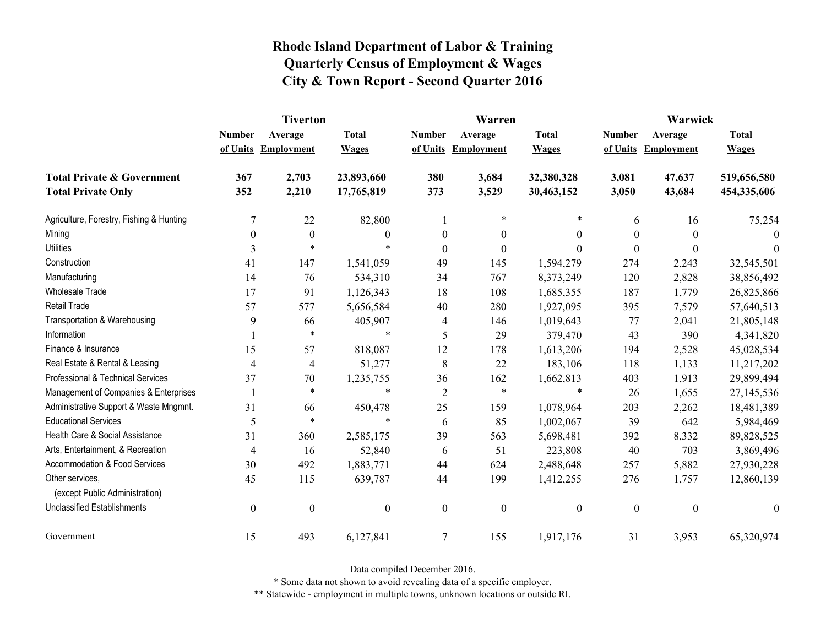|                                                   | <b>Tiverton</b>  |                  |                  |                  | Warren              |                  | Warwick       |                   |                  |
|---------------------------------------------------|------------------|------------------|------------------|------------------|---------------------|------------------|---------------|-------------------|------------------|
|                                                   | <b>Number</b>    | Average          | <b>Total</b>     | <b>Number</b>    | Average             | <b>Total</b>     | <b>Number</b> | Average           | <b>Total</b>     |
|                                                   | of Units         | Employment       | <b>Wages</b>     |                  | of Units Employment | <b>Wages</b>     | of Units      | <b>Employment</b> | <b>Wages</b>     |
| <b>Total Private &amp; Government</b>             | 367              | 2,703            | 23,893,660       | 380              | 3,684               | 32,380,328       | 3,081         | 47,637            | 519,656,580      |
| <b>Total Private Only</b>                         | 352              | 2,210            | 17,765,819       | 373              | 3,529               | 30,463,152       | 3,050         | 43,684            | 454,335,606      |
| Agriculture, Forestry, Fishing & Hunting          | $\overline{7}$   | 22               | 82,800           |                  | $\ast$              | *                | 6             | 16                | 75,254           |
| Mining                                            | $\theta$         | 0                | $\theta$         | $\theta$         | $\mathbf{0}$        | $\theta$         | 0             | $\theta$          |                  |
| <b>Utilities</b>                                  | 3                | $\ast$           | $\ast$           | $\boldsymbol{0}$ | $\boldsymbol{0}$    | $\theta$         | $\Omega$      | $\theta$          | $\theta$         |
| Construction                                      | 41               | 147              | 1,541,059        | 49               | 145                 | 1,594,279        | 274           | 2,243             | 32,545,501       |
| Manufacturing                                     | 14               | 76               | 534,310          | 34               | 767                 | 8,373,249        | 120           | 2,828             | 38,856,492       |
| <b>Wholesale Trade</b>                            | 17               | 91               | 1,126,343        | 18               | 108                 | 1,685,355        | 187           | 1,779             | 26,825,866       |
| Retail Trade                                      | 57               | 577              | 5,656,584        | 40               | 280                 | 1,927,095        | 395           | 7,579             | 57,640,513       |
| Transportation & Warehousing                      | 9                | 66               | 405,907          | 4                | 146                 | 1,019,643        | 77            | 2,041             | 21,805,148       |
| Information                                       |                  | $\ast$           | $\ast$           | 5                | 29                  | 379,470          | 43            | 390               | 4,341,820        |
| Finance & Insurance                               | 15               | 57               | 818,087          | 12               | 178                 | 1,613,206        | 194           | 2,528             | 45,028,534       |
| Real Estate & Rental & Leasing                    | $\overline{4}$   | 4                | 51,277           | 8                | 22                  | 183,106          | 118           | 1,133             | 11,217,202       |
| Professional & Technical Services                 | 37               | 70               | 1,235,755        | 36               | 162                 | 1,662,813        | 403           | 1,913             | 29,899,494       |
| Management of Companies & Enterprises             |                  | $\ast$           | $\ast$           | $\overline{2}$   | $\ast$              | $\ast$           | 26            | 1,655             | 27,145,536       |
| Administrative Support & Waste Mngmnt.            | 31               | 66               | 450,478          | 25               | 159                 | 1,078,964        | 203           | 2,262             | 18,481,389       |
| <b>Educational Services</b>                       | 5                | $\ast$           | $\ast$           | 6                | 85                  | 1,002,067        | 39            | 642               | 5,984,469        |
| Health Care & Social Assistance                   | 31               | 360              | 2,585,175        | 39               | 563                 | 5,698,481        | 392           | 8,332             | 89,828,525       |
| Arts, Entertainment, & Recreation                 | $\overline{4}$   | 16               | 52,840           | 6                | 51                  | 223,808          | 40            | 703               | 3,869,496        |
| Accommodation & Food Services                     | 30               | 492              | 1,883,771        | 44               | 624                 | 2,488,648        | 257           | 5,882             | 27,930,228       |
| Other services.<br>(except Public Administration) | 45               | 115              | 639,787          | 44               | 199                 | 1,412,255        | 276           | 1,757             | 12,860,139       |
| <b>Unclassified Establishments</b>                | $\boldsymbol{0}$ | $\boldsymbol{0}$ | $\boldsymbol{0}$ | $\boldsymbol{0}$ | $\boldsymbol{0}$    | $\boldsymbol{0}$ | $\mathbf{0}$  | $\boldsymbol{0}$  | $\boldsymbol{0}$ |
| Government                                        | 15               | 493              | 6,127,841        | $\boldsymbol{7}$ | 155                 | 1,917,176        | 31            | 3,953             | 65,320,974       |

Data compiled December 2016.

\* Some data not shown to avoid revealing data of a specific employer.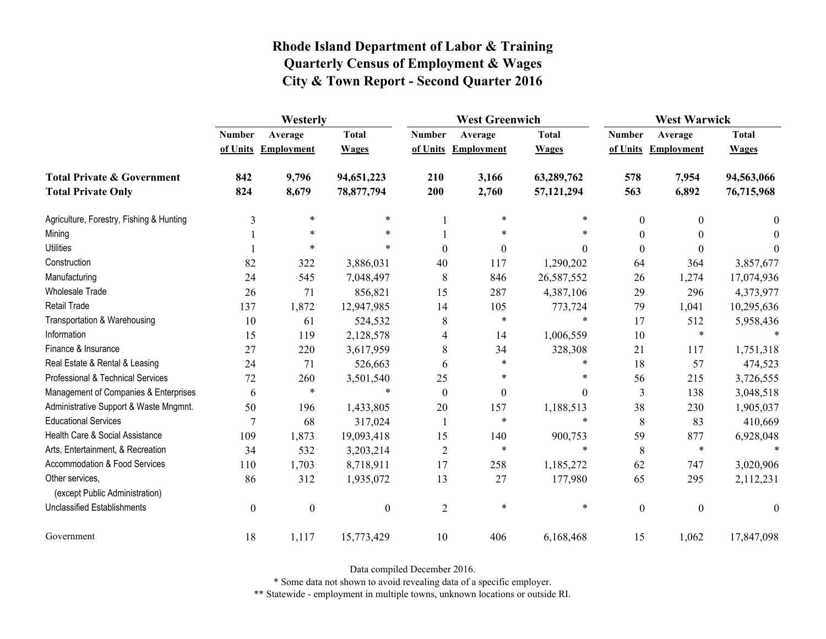|                                                   | Westerly         |                     |                  |                | <b>West Greenwich</b> |              |                  | <b>West Warwick</b> |              |  |
|---------------------------------------------------|------------------|---------------------|------------------|----------------|-----------------------|--------------|------------------|---------------------|--------------|--|
|                                                   | <b>Number</b>    | Average             | <b>Total</b>     | <b>Number</b>  | Average               | <b>Total</b> | <b>Number</b>    | Average             | <b>Total</b> |  |
|                                                   |                  | of Units Employment | <b>Wages</b>     |                | of Units Employment   | <b>Wages</b> |                  | of Units Employment | <b>Wages</b> |  |
| <b>Total Private &amp; Government</b>             | 842              | 9,796               | 94,651,223       | 210            | 3,166                 | 63,289,762   | 578              | 7,954               | 94,563,066   |  |
| <b>Total Private Only</b>                         | 824              | 8,679               | 78,877,794       | 200            | 2,760                 | 57,121,294   | 563              | 6,892               | 76,715,968   |  |
| Agriculture, Forestry, Fishing & Hunting          | 3                | $\ast$              | $\ast$           |                | $\ast$                | $\ast$       | $\boldsymbol{0}$ | $\theta$            | $\theta$     |  |
| Mining                                            |                  | $\ast$              | *                |                | $\ast$                | *            | $\theta$         |                     | $\Omega$     |  |
| <b>Utilities</b>                                  |                  | $\ast$              | $\ast$           | $\theta$       | $\boldsymbol{0}$      | $\theta$     | $\boldsymbol{0}$ | $\Omega$            | $\theta$     |  |
| Construction                                      | 82               | 322                 | 3,886,031        | 40             | 117                   | 1,290,202    | 64               | 364                 | 3,857,677    |  |
| Manufacturing                                     | 24               | 545                 | 7,048,497        | 8              | 846                   | 26,587,552   | 26               | 1,274               | 17,074,936   |  |
| Wholesale Trade                                   | 26               | 71                  | 856,821          | 15             | 287                   | 4,387,106    | 29               | 296                 | 4,373,977    |  |
| <b>Retail Trade</b>                               | 137              | 1,872               | 12,947,985       | 14             | 105                   | 773,724      | 79               | 1,041               | 10,295,636   |  |
| Transportation & Warehousing                      | 10               | 61                  | 524,532          | 8              | $\ast$                | $\ast$       | 17               | 512                 | 5,958,436    |  |
| Information                                       | 15               | 119                 | 2,128,578        | 4              | 14                    | 1,006,559    | 10               | $\ast$              |              |  |
| Finance & Insurance                               | 27               | 220                 | 3,617,959        | 8              | 34                    | 328,308      | 21               | 117                 | 1,751,318    |  |
| Real Estate & Rental & Leasing                    | 24               | 71                  | 526,663          | 6              | *                     | $\ast$       | 18               | 57                  | 474,523      |  |
| Professional & Technical Services                 | 72               | 260                 | 3,501,540        | 25             | *                     | *            | 56               | 215                 | 3,726,555    |  |
| Management of Companies & Enterprises             | 6                | $\ast$              | $\ast$           | $\theta$       | $\boldsymbol{0}$      | $\Omega$     | 3                | 138                 | 3,048,518    |  |
| Administrative Support & Waste Mngmnt.            | 50               | 196                 | 1,433,805        | 20             | 157                   | 1,188,513    | 38               | 230                 | 1,905,037    |  |
| <b>Educational Services</b>                       | $\tau$           | 68                  | 317,024          | 1              | $\ast$                | $\ast$       | 8                | 83                  | 410,669      |  |
| Health Care & Social Assistance                   | 109              | 1,873               | 19,093,418       | 15             | 140                   | 900,753      | 59               | 877                 | 6,928,048    |  |
| Arts, Entertainment, & Recreation                 | 34               | 532                 | 3,203,214        | $\overline{2}$ | $\ast$                | $\ast$       | $8\,$            | $\ast$              | $\ast$       |  |
| <b>Accommodation &amp; Food Services</b>          | 110              | 1,703               | 8,718,911        | 17             | 258                   | 1,185,272    | 62               | 747                 | 3,020,906    |  |
| Other services,<br>(except Public Administration) | 86               | 312                 | 1,935,072        | 13             | 27                    | 177,980      | 65               | 295                 | 2,112,231    |  |
| <b>Unclassified Establishments</b>                | $\boldsymbol{0}$ | $\boldsymbol{0}$    | $\boldsymbol{0}$ | $\overline{2}$ | $\ast$                | $\ast$       | $\boldsymbol{0}$ | $\boldsymbol{0}$    | $\theta$     |  |
| Government                                        | 18               | 1,117               | 15,773,429       | 10             | 406                   | 6,168,468    | 15               | 1,062               | 17,847,098   |  |

Data compiled December 2016.

\* Some data not shown to avoid revealing data of a specific employer.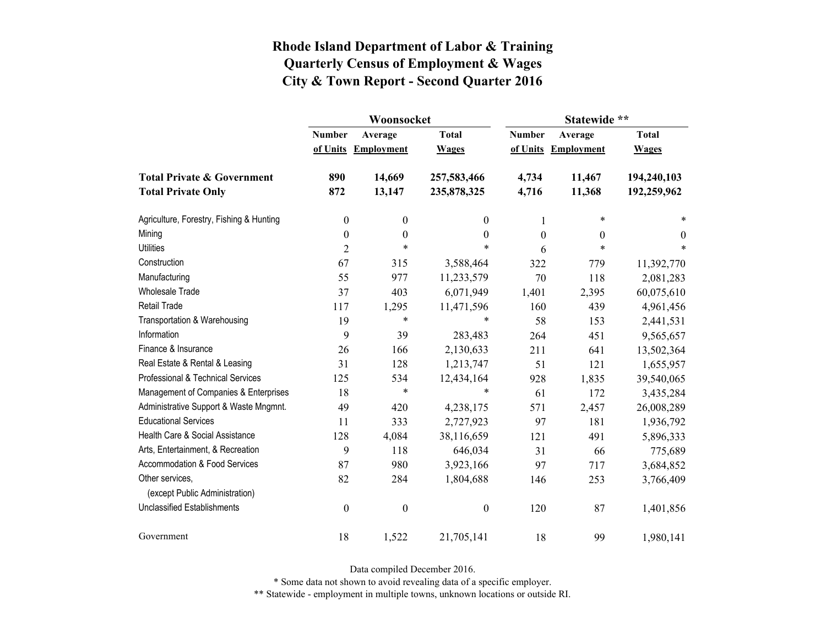|                                          |                           | Woonsocket                   |                              | Statewide **              |                              |                              |  |
|------------------------------------------|---------------------------|------------------------------|------------------------------|---------------------------|------------------------------|------------------------------|--|
|                                          | <b>Number</b><br>of Units | Average<br><b>Employment</b> | <b>Total</b><br><b>Wages</b> | <b>Number</b><br>of Units | Average<br><b>Employment</b> | <b>Total</b><br><b>Wages</b> |  |
|                                          |                           |                              |                              |                           |                              |                              |  |
| <b>Total Private &amp; Government</b>    | 890                       | 14,669                       | 257,583,466                  | 4,734                     | 11,467                       | 194,240,103                  |  |
| <b>Total Private Only</b>                | 872                       | 13,147                       | 235,878,325                  | 4,716                     | 11,368                       | 192,259,962                  |  |
| Agriculture, Forestry, Fishing & Hunting | $\boldsymbol{0}$          | $\boldsymbol{0}$             | $\theta$                     | 1                         | $\ast$                       | *                            |  |
| Mining                                   | $\boldsymbol{0}$          | $\boldsymbol{0}$             | 0                            | $\theta$                  | $\theta$                     | $\theta$                     |  |
| <b>Utilities</b>                         | $\overline{2}$            | $\ast$                       | $\ast$                       | 6                         | $\ast$                       | $\ast$                       |  |
| Construction                             | 67                        | 315                          | 3,588,464                    | 322                       | 779                          | 11,392,770                   |  |
| Manufacturing                            | 55                        | 977                          | 11,233,579                   | 70                        | 118                          | 2,081,283                    |  |
| <b>Wholesale Trade</b>                   | 37                        | 403                          | 6,071,949                    | 1,401                     | 2,395                        | 60,075,610                   |  |
| <b>Retail Trade</b>                      | 117                       | 1,295                        | 11,471,596                   | 160                       | 439                          | 4,961,456                    |  |
| Transportation & Warehousing             | 19                        | $\ast$                       | *                            | 58                        | 153                          | 2,441,531                    |  |
| Information                              | 9                         | 39                           | 283,483                      | 264                       | 451                          | 9,565,657                    |  |
| Finance & Insurance                      | 26                        | 166                          | 2,130,633                    | 211                       | 641                          | 13,502,364                   |  |
| Real Estate & Rental & Leasing           | 31                        | 128                          | 1,213,747                    | 51                        | 121                          | 1,655,957                    |  |
| Professional & Technical Services        | 125                       | 534                          | 12,434,164                   | 928                       | 1,835                        | 39,540,065                   |  |
| Management of Companies & Enterprises    | 18                        | $\ast$                       | $\ast$                       | 61                        | 172                          | 3,435,284                    |  |
| Administrative Support & Waste Mngmnt.   | 49                        | 420                          | 4,238,175                    | 571                       | 2,457                        | 26,008,289                   |  |
| <b>Educational Services</b>              | 11                        | 333                          | 2,727,923                    | 97                        | 181                          | 1,936,792                    |  |
| Health Care & Social Assistance          | 128                       | 4,084                        | 38,116,659                   | 121                       | 491                          | 5,896,333                    |  |
| Arts, Entertainment, & Recreation        | 9                         | 118                          | 646,034                      | 31                        | 66                           | 775,689                      |  |
| Accommodation & Food Services            | 87                        | 980                          | 3,923,166                    | 97                        | 717                          | 3,684,852                    |  |
| Other services,                          | 82                        | 284                          | 1,804,688                    | 146                       | 253                          | 3,766,409                    |  |
| (except Public Administration)           |                           |                              |                              |                           |                              |                              |  |
| <b>Unclassified Establishments</b>       | $\boldsymbol{0}$          | $\boldsymbol{0}$             | $\boldsymbol{0}$             | 120                       | 87                           | 1,401,856                    |  |
| Government                               | 18                        | 1,522                        | 21,705,141                   | 18                        | 99                           | 1,980,141                    |  |

Data compiled December 2016.

\* Some data not shown to avoid revealing data of a specific employer.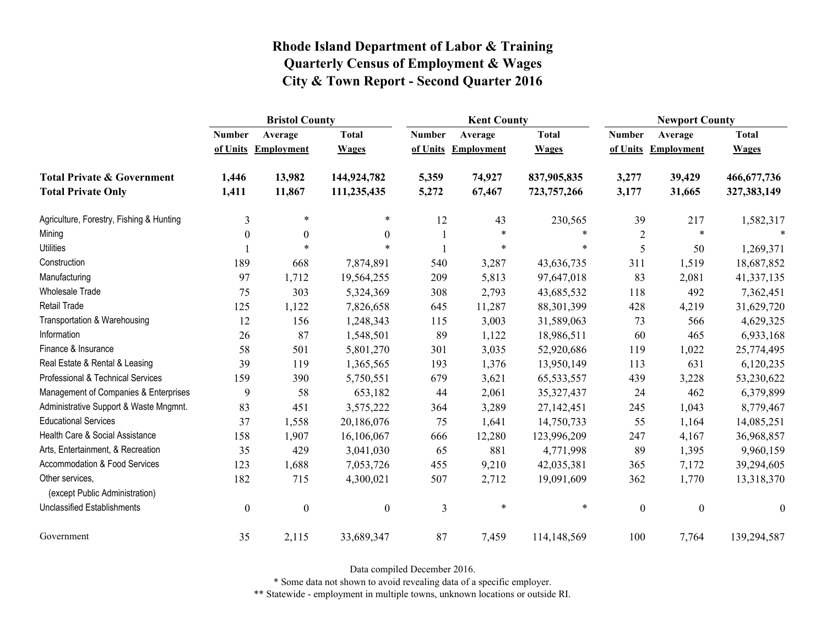|                                                   | <b>Bristol County</b> |                   |                  |                | <b>Kent County</b> |               |                  | <b>Newport County</b> |                  |
|---------------------------------------------------|-----------------------|-------------------|------------------|----------------|--------------------|---------------|------------------|-----------------------|------------------|
|                                                   | <b>Number</b>         | Average           | <b>Total</b>     | <b>Number</b>  | Average            | <b>Total</b>  | <b>Number</b>    | Average               | <b>Total</b>     |
|                                                   | of Units              | <b>Employment</b> | <b>Wages</b>     | of Units       | <b>Employment</b>  | <b>Wages</b>  | of Units         | <b>Employment</b>     | <b>Wages</b>     |
| <b>Total Private &amp; Government</b>             | 1,446                 | 13,982            | 144,924,782      | 5,359          | 74,927             | 837,905,835   | 3,277            | 39,429                | 466, 677, 736    |
| <b>Total Private Only</b>                         | 1,411                 | 11,867            | 111,235,435      | 5,272          | 67,467             | 723, 757, 266 | 3,177            | 31,665                | 327, 383, 149    |
| Agriculture, Forestry, Fishing & Hunting          | 3                     | $\ast$            | *                | 12             | 43                 | 230,565       | 39               | 217                   | 1,582,317        |
| Mining                                            | $\boldsymbol{0}$      | $\boldsymbol{0}$  | $\mathbf{0}$     |                | $\ast$             | $\ast$        | $\overline{c}$   | $\ast$                |                  |
| <b>Utilities</b>                                  |                       | $\ast$            | $\ast$           |                | *                  | $\ast$        | 5                | 50                    | 1,269,371        |
| Construction                                      | 189                   | 668               | 7,874,891        | 540            | 3,287              | 43,636,735    | 311              | 1,519                 | 18,687,852       |
| Manufacturing                                     | 97                    | 1,712             | 19,564,255       | 209            | 5,813              | 97,647,018    | 83               | 2,081                 | 41,337,135       |
| Wholesale Trade                                   | 75                    | 303               | 5,324,369        | 308            | 2,793              | 43,685,532    | 118              | 492                   | 7,362,451        |
| <b>Retail Trade</b>                               | 125                   | 1,122             | 7,826,658        | 645            | 11,287             | 88,301,399    | 428              | 4,219                 | 31,629,720       |
| Transportation & Warehousing                      | 12                    | 156               | 1,248,343        | 115            | 3,003              | 31,589,063    | 73               | 566                   | 4,629,325        |
| Information                                       | 26                    | 87                | 1,548,501        | 89             | 1,122              | 18,986,511    | 60               | 465                   | 6,933,168        |
| Finance & Insurance                               | 58                    | 501               | 5,801,270        | 301            | 3,035              | 52,920,686    | 119              | 1,022                 | 25,774,495       |
| Real Estate & Rental & Leasing                    | 39                    | 119               | 1,365,565        | 193            | 1,376              | 13,950,149    | 113              | 631                   | 6,120,235        |
| Professional & Technical Services                 | 159                   | 390               | 5,750,551        | 679            | 3,621              | 65, 533, 557  | 439              | 3,228                 | 53,230,622       |
| Management of Companies & Enterprises             | 9                     | 58                | 653,182          | 44             | 2,061              | 35, 327, 437  | 24               | 462                   | 6,379,899        |
| Administrative Support & Waste Mngmnt.            | 83                    | 451               | 3,575,222        | 364            | 3,289              | 27,142,451    | 245              | 1,043                 | 8,779,467        |
| <b>Educational Services</b>                       | 37                    | 1,558             | 20,186,076       | 75             | 1,641              | 14,750,733    | 55               | 1,164                 | 14,085,251       |
| Health Care & Social Assistance                   | 158                   | 1,907             | 16,106,067       | 666            | 12,280             | 123,996,209   | 247              | 4,167                 | 36,968,857       |
| Arts, Entertainment, & Recreation                 | 35                    | 429               | 3,041,030        | 65             | 881                | 4,771,998     | 89               | 1,395                 | 9,960,159        |
| Accommodation & Food Services                     | 123                   | 1,688             | 7,053,726        | 455            | 9,210              | 42,035,381    | 365              | 7,172                 | 39,294,605       |
| Other services,<br>(except Public Administration) | 182                   | 715               | 4,300,021        | 507            | 2,712              | 19,091,609    | 362              | 1,770                 | 13,318,370       |
| <b>Unclassified Establishments</b>                | $\boldsymbol{0}$      | $\boldsymbol{0}$  | $\boldsymbol{0}$ | $\mathfrak{Z}$ | $\ast$             | $\ast$        | $\boldsymbol{0}$ | $\boldsymbol{0}$      | $\boldsymbol{0}$ |
| Government                                        | 35                    | 2,115             | 33,689,347       | 87             | 7,459              | 114,148,569   | 100              | 7,764                 | 139,294,587      |

Data compiled December 2016.

\* Some data not shown to avoid revealing data of a specific employer.